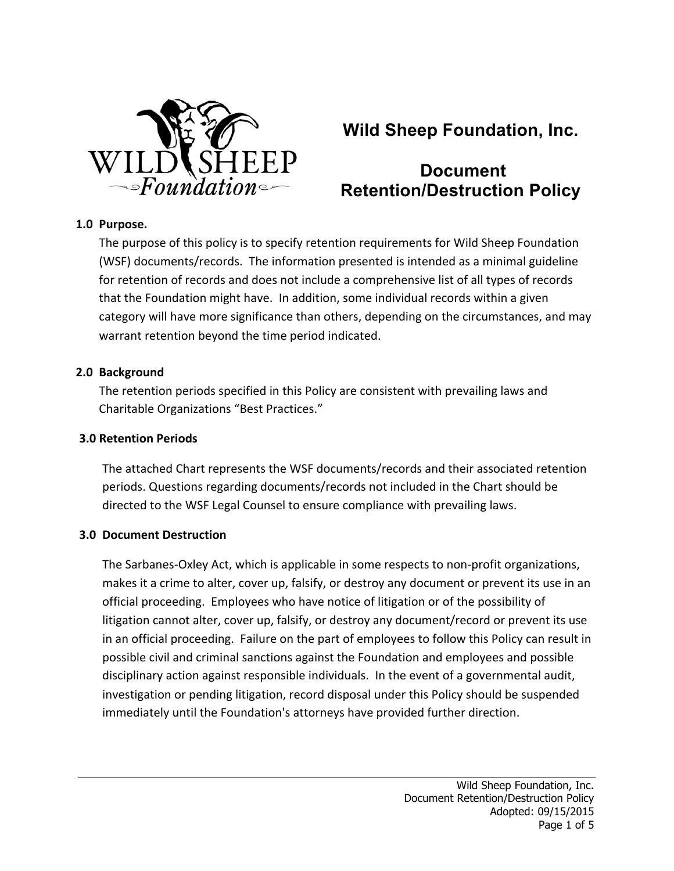

# **Wild Sheep Foundation, Inc.**

## **Document Retention/Destruction Policy**

### 1.0 **Purpose.**

The purpose of this policy is to specify retention requirements for Wild Sheep Foundation (WSF) documents/records. The information presented is intended as a minimal guideline for retention of records and does not include a comprehensive list of all types of records that the Foundation might have. In addition, some individual records within a given category will have more significance than others, depending on the circumstances, and may warrant retention beyond the time period indicated.

#### **2.0 Background**

The retention periods specified in this Policy are consistent with prevailing laws and Charitable Organizations "Best Practices."

### **3.0 Retention Periods**

The attached Chart represents the WSF documents/records and their associated retention periods. Questions regarding documents/records not included in the Chart should be directed to the WSF Legal Counsel to ensure compliance with prevailing laws.

#### **3.0 Document Destruction**

The Sarbanes-Oxley Act, which is applicable in some respects to non-profit organizations, makes it a crime to alter, cover up, falsify, or destroy any document or prevent its use in an official proceeding. Employees who have notice of litigation or of the possibility of litigation cannot alter, cover up, falsify, or destroy any document/record or prevent its use in an official proceeding. Failure on the part of employees to follow this Policy can result in possible civil and criminal sanctions against the Foundation and employees and possible disciplinary action against responsible individuals. In the event of a governmental audit, investigation or pending litigation, record disposal under this Policy should be suspended immediately until the Foundation's attorneys have provided further direction.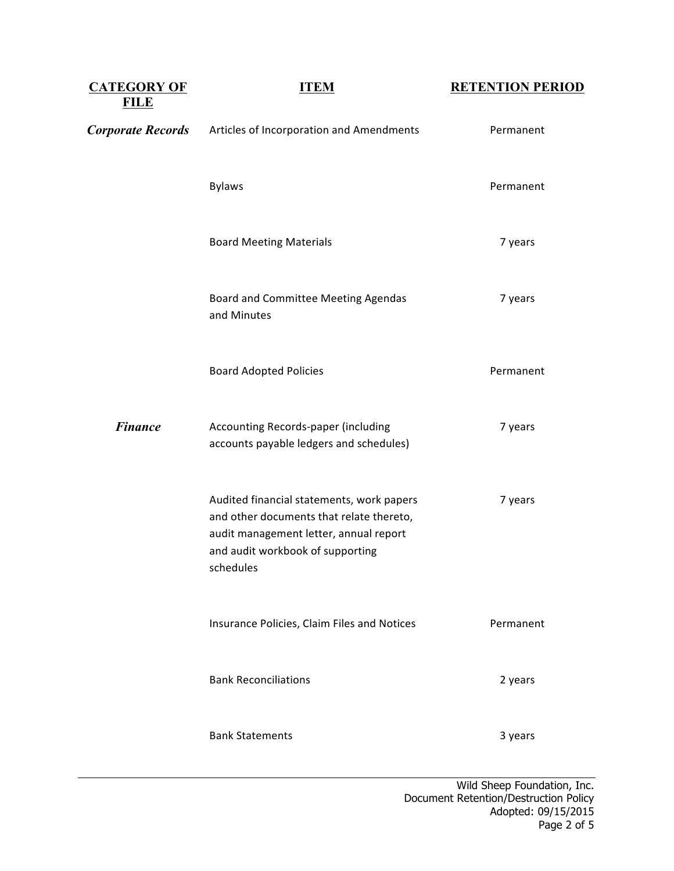| <b>CATEGORY OF</b><br><b>FILE</b> | <b>ITEM</b>                                                                                                                                                                      | <b>RETENTION PERIOD</b> |
|-----------------------------------|----------------------------------------------------------------------------------------------------------------------------------------------------------------------------------|-------------------------|
| <b>Corporate Records</b>          | Articles of Incorporation and Amendments                                                                                                                                         | Permanent               |
|                                   | <b>Bylaws</b>                                                                                                                                                                    | Permanent               |
|                                   | <b>Board Meeting Materials</b>                                                                                                                                                   | 7 years                 |
|                                   | Board and Committee Meeting Agendas<br>and Minutes                                                                                                                               | 7 years                 |
|                                   | <b>Board Adopted Policies</b>                                                                                                                                                    | Permanent               |
| <b>Finance</b>                    | Accounting Records-paper (including<br>accounts payable ledgers and schedules)                                                                                                   | 7 years                 |
|                                   | Audited financial statements, work papers<br>and other documents that relate thereto,<br>audit management letter, annual report<br>and audit workbook of supporting<br>schedules | 7 years                 |
|                                   | Insurance Policies, Claim Files and Notices                                                                                                                                      | Permanent               |
|                                   | <b>Bank Reconciliations</b>                                                                                                                                                      | 2 years                 |
|                                   | <b>Bank Statements</b>                                                                                                                                                           | 3 years                 |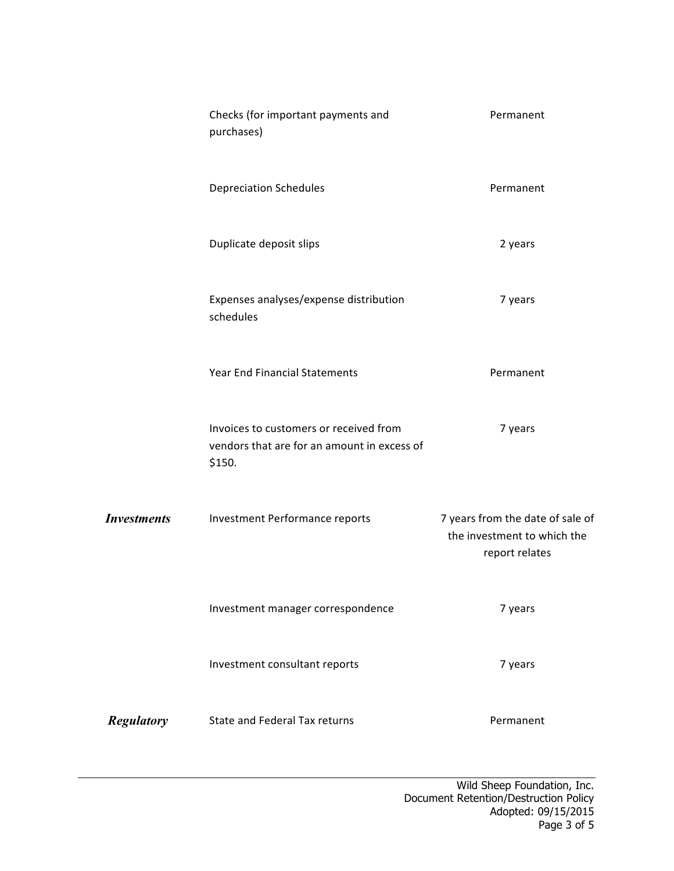|                    | Checks (for important payments and<br>purchases)                                                | Permanent                                                                         |
|--------------------|-------------------------------------------------------------------------------------------------|-----------------------------------------------------------------------------------|
|                    | <b>Depreciation Schedules</b>                                                                   | Permanent                                                                         |
|                    | Duplicate deposit slips                                                                         | 2 years                                                                           |
|                    | Expenses analyses/expense distribution<br>schedules                                             | 7 years                                                                           |
|                    | Year End Financial Statements                                                                   | Permanent                                                                         |
|                    | Invoices to customers or received from<br>vendors that are for an amount in excess of<br>\$150. | 7 years                                                                           |
| <b>Investments</b> | Investment Performance reports                                                                  | 7 years from the date of sale of<br>the investment to which the<br>report relates |
|                    | Investment manager correspondence                                                               | 7 years                                                                           |
|                    | Investment consultant reports                                                                   | 7 years                                                                           |
| <b>Regulatory</b>  | State and Federal Tax returns                                                                   | Permanent                                                                         |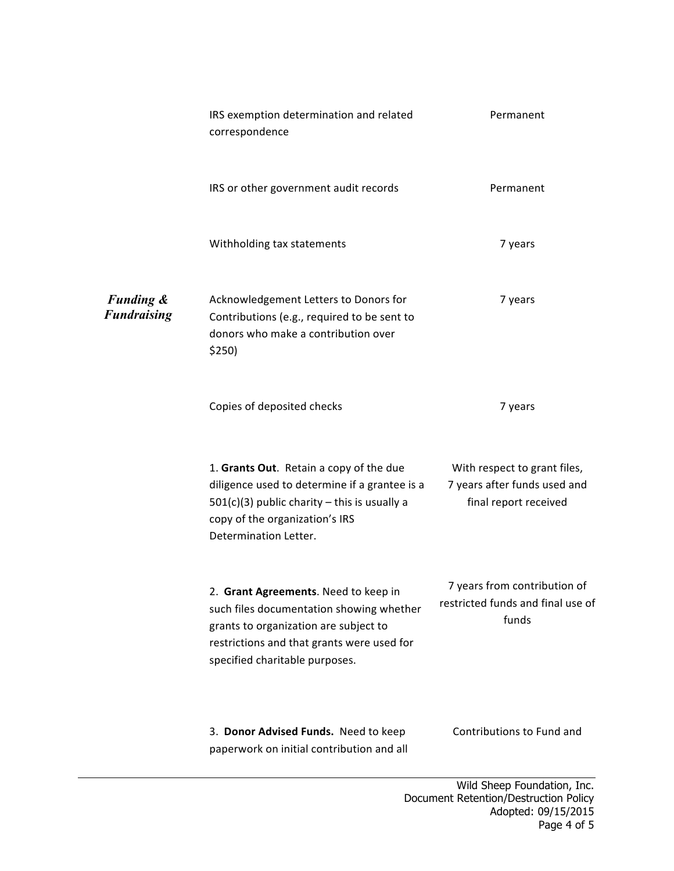|                                            | IRS exemption determination and related<br>correspondence                                                                                                                                                 | Permanent                                                                             |
|--------------------------------------------|-----------------------------------------------------------------------------------------------------------------------------------------------------------------------------------------------------------|---------------------------------------------------------------------------------------|
|                                            | IRS or other government audit records                                                                                                                                                                     | Permanent                                                                             |
|                                            | Withholding tax statements                                                                                                                                                                                | 7 years                                                                               |
| <b>Funding &amp;</b><br><b>Fundraising</b> | Acknowledgement Letters to Donors for<br>Contributions (e.g., required to be sent to<br>donors who make a contribution over<br>\$250)                                                                     | 7 years                                                                               |
|                                            | Copies of deposited checks                                                                                                                                                                                | 7 years                                                                               |
|                                            | 1. Grants Out. Retain a copy of the due<br>diligence used to determine if a grantee is a<br>$501(c)(3)$ public charity – this is usually a<br>copy of the organization's IRS<br>Determination Letter.     | With respect to grant files,<br>7 years after funds used and<br>final report received |
|                                            | 2. Grant Agreements. Need to keep in<br>such files documentation showing whether<br>grants to organization are subject to<br>restrictions and that grants were used for<br>specified charitable purposes. | 7 years from contribution of<br>restricted funds and final use of<br>funds            |
|                                            | 3. Donor Advised Funds. Need to keep<br>paperwork on initial contribution and all                                                                                                                         | Contributions to Fund and                                                             |